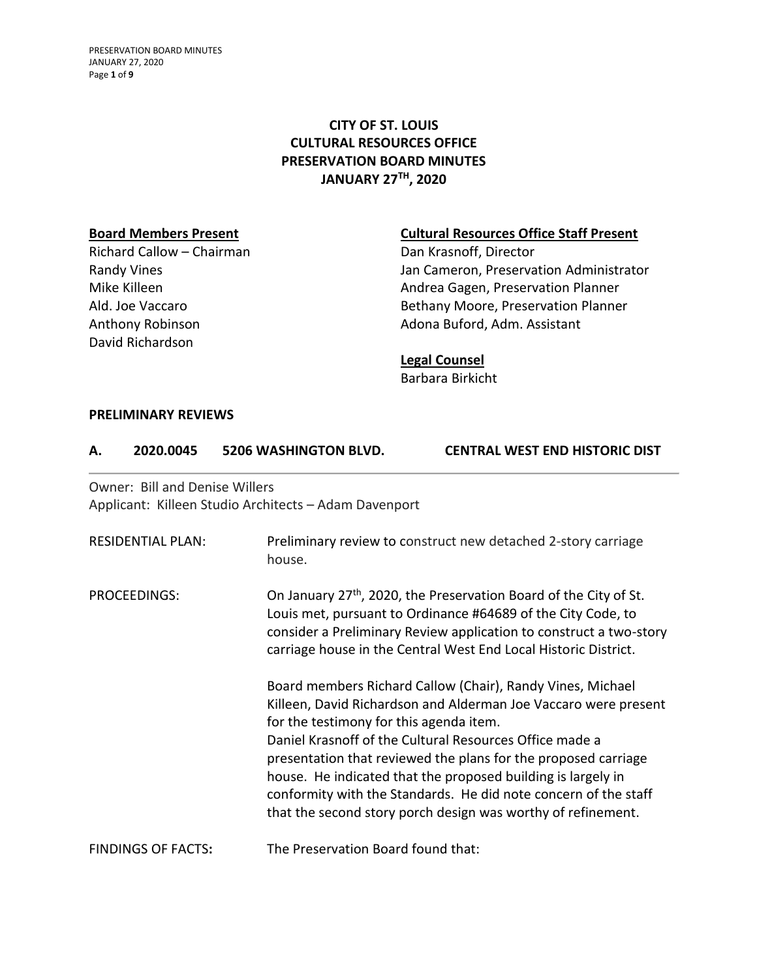PRESERVATION BOARD MINUTES JANUARY 27, 2020 Page **1** of **9**

## **CITY OF ST. LOUIS CULTURAL RESOURCES OFFICE PRESERVATION BOARD MINUTES JANUARY 27TH, 2020**

Richard Callow – Chairman Dan Krasnoff, Director David Richardson

### **Board Members Present Cultural Resources Office Staff Present**

Randy Vines **Nandy Vines Jan Cameron, Preservation Administrator** Mike Killeen **Andrea Gagen, Preservation Planner** Andrea Gagen, Preservation Planner Ald. Joe Vaccaro **Bethany Moore, Preservation Planner** Anthony Robinson **Adona Buford, Adm. Assistant** 

#### **Legal Counsel**

Barbara Birkicht

#### **PRELIMINARY REVIEWS**

| А. | 2020.0045                      | 5206 WASHINGTON BLVD. | <b>CENTRAL WEST END HISTORIC DIST</b> |
|----|--------------------------------|-----------------------|---------------------------------------|
|    | Owner: Bill and Denise Willers |                       |                                       |

Applicant: Killeen Studio Architects – Adam Davenport

| <b>RESIDENTIAL PLAN:</b>  | Preliminary review to construct new detached 2-story carriage<br>house.                                                                                                                                                                                                                                                                                                                                                                                                                                  |
|---------------------------|----------------------------------------------------------------------------------------------------------------------------------------------------------------------------------------------------------------------------------------------------------------------------------------------------------------------------------------------------------------------------------------------------------------------------------------------------------------------------------------------------------|
| PROCEEDINGS:              | On January 27 <sup>th</sup> , 2020, the Preservation Board of the City of St.<br>Louis met, pursuant to Ordinance #64689 of the City Code, to<br>consider a Preliminary Review application to construct a two-story<br>carriage house in the Central West End Local Historic District.                                                                                                                                                                                                                   |
|                           | Board members Richard Callow (Chair), Randy Vines, Michael<br>Killeen, David Richardson and Alderman Joe Vaccaro were present<br>for the testimony for this agenda item.<br>Daniel Krasnoff of the Cultural Resources Office made a<br>presentation that reviewed the plans for the proposed carriage<br>house. He indicated that the proposed building is largely in<br>conformity with the Standards. He did note concern of the staff<br>that the second story porch design was worthy of refinement. |
| <b>FINDINGS OF FACTS:</b> | The Preservation Board found that:                                                                                                                                                                                                                                                                                                                                                                                                                                                                       |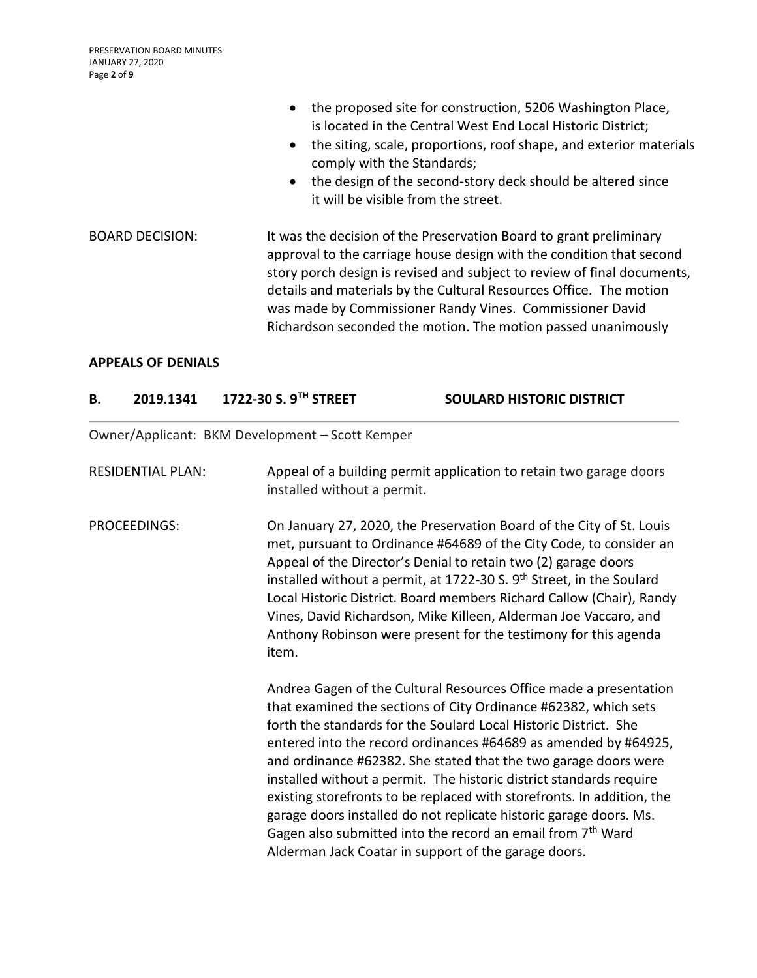|                        | the proposed site for construction, 5206 Washington Place,<br>is located in the Central West End Local Historic District;<br>the siting, scale, proportions, roof shape, and exterior materials<br>comply with the Standards;<br>• the design of the second-story deck should be altered since<br>it will be visible from the street.                                                                                    |
|------------------------|--------------------------------------------------------------------------------------------------------------------------------------------------------------------------------------------------------------------------------------------------------------------------------------------------------------------------------------------------------------------------------------------------------------------------|
| <b>BOARD DECISION:</b> | It was the decision of the Preservation Board to grant preliminary<br>approval to the carriage house design with the condition that second<br>story porch design is revised and subject to review of final documents,<br>details and materials by the Cultural Resources Office. The motion<br>was made by Commissioner Randy Vines. Commissioner David<br>Richardson seconded the motion. The motion passed unanimously |

### **APPEALS OF DENIALS**

| В.                       | 2019.1341    | 1722-30 S. 9TH STREET                           | <b>SOULARD HISTORIC DISTRICT</b>                                                                                                                                                                                                                                                                                                                                                                                                                                                                                                                                                                                                                                                                         |
|--------------------------|--------------|-------------------------------------------------|----------------------------------------------------------------------------------------------------------------------------------------------------------------------------------------------------------------------------------------------------------------------------------------------------------------------------------------------------------------------------------------------------------------------------------------------------------------------------------------------------------------------------------------------------------------------------------------------------------------------------------------------------------------------------------------------------------|
|                          |              | Owner/Applicant: BKM Development - Scott Kemper |                                                                                                                                                                                                                                                                                                                                                                                                                                                                                                                                                                                                                                                                                                          |
| <b>RESIDENTIAL PLAN:</b> |              | installed without a permit.                     | Appeal of a building permit application to retain two garage doors                                                                                                                                                                                                                                                                                                                                                                                                                                                                                                                                                                                                                                       |
|                          | PROCEEDINGS: | item.                                           | On January 27, 2020, the Preservation Board of the City of St. Louis<br>met, pursuant to Ordinance #64689 of the City Code, to consider an<br>Appeal of the Director's Denial to retain two (2) garage doors<br>installed without a permit, at 1722-30 S. 9 <sup>th</sup> Street, in the Soulard<br>Local Historic District. Board members Richard Callow (Chair), Randy<br>Vines, David Richardson, Mike Killeen, Alderman Joe Vaccaro, and<br>Anthony Robinson were present for the testimony for this agenda                                                                                                                                                                                          |
|                          |              |                                                 | Andrea Gagen of the Cultural Resources Office made a presentation<br>that examined the sections of City Ordinance #62382, which sets<br>forth the standards for the Soulard Local Historic District. She<br>entered into the record ordinances #64689 as amended by #64925,<br>and ordinance #62382. She stated that the two garage doors were<br>installed without a permit. The historic district standards require<br>existing storefronts to be replaced with storefronts. In addition, the<br>garage doors installed do not replicate historic garage doors. Ms.<br>Gagen also submitted into the record an email from 7 <sup>th</sup> Ward<br>Alderman Jack Coatar in support of the garage doors. |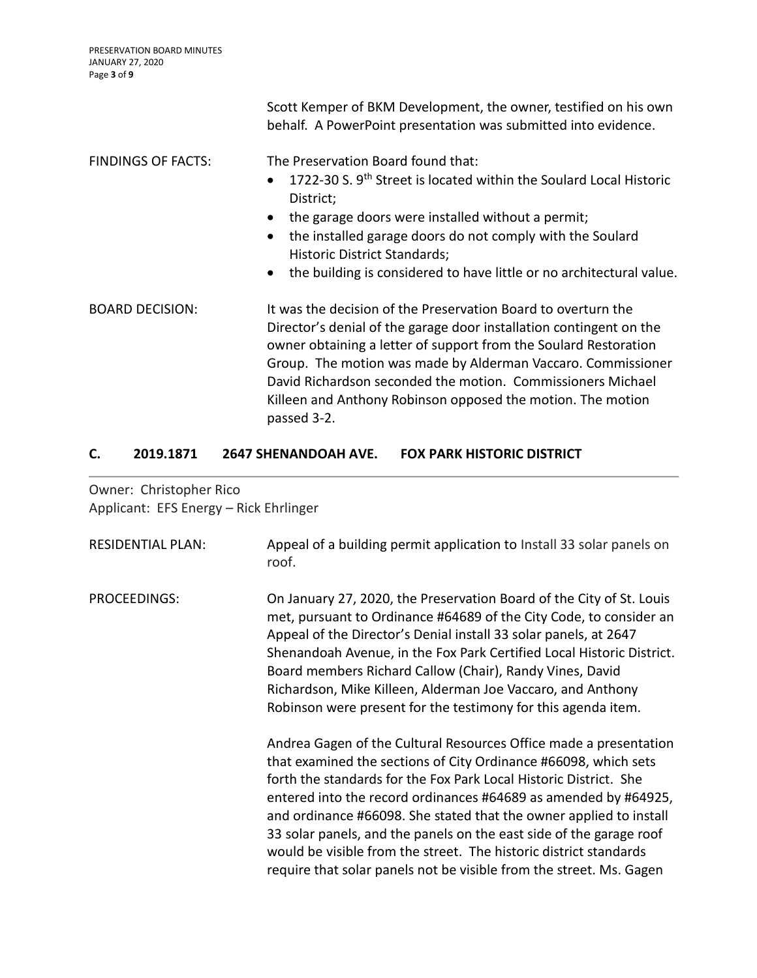|                           | Scott Kemper of BKM Development, the owner, testified on his own<br>behalf. A PowerPoint presentation was submitted into evidence.                                                                                                                                                                                                                                                                                    |
|---------------------------|-----------------------------------------------------------------------------------------------------------------------------------------------------------------------------------------------------------------------------------------------------------------------------------------------------------------------------------------------------------------------------------------------------------------------|
| <b>FINDINGS OF FACTS:</b> | The Preservation Board found that:<br>1722-30 S. 9 <sup>th</sup> Street is located within the Soulard Local Historic<br>District;<br>the garage doors were installed without a permit;<br>the installed garage doors do not comply with the Soulard<br>Historic District Standards;<br>the building is considered to have little or no architectural value.                                                           |
| <b>BOARD DECISION:</b>    | It was the decision of the Preservation Board to overturn the<br>Director's denial of the garage door installation contingent on the<br>owner obtaining a letter of support from the Soulard Restoration<br>Group. The motion was made by Alderman Vaccaro. Commissioner<br>David Richardson seconded the motion. Commissioners Michael<br>Killeen and Anthony Robinson opposed the motion. The motion<br>passed 3-2. |

## **C. 2019.1871 2647 SHENANDOAH AVE. FOX PARK HISTORIC DISTRICT**

Owner: Christopher Rico Applicant: EFS Energy – Rick Ehrlinger

| <b>RESIDENTIAL PLAN:</b> | Appeal of a building permit application to Install 33 solar panels on<br>roof.                                                                                                                                                                                                                                                                                                                                                                                                                                                                                        |
|--------------------------|-----------------------------------------------------------------------------------------------------------------------------------------------------------------------------------------------------------------------------------------------------------------------------------------------------------------------------------------------------------------------------------------------------------------------------------------------------------------------------------------------------------------------------------------------------------------------|
| PROCEEDINGS:             | On January 27, 2020, the Preservation Board of the City of St. Louis<br>met, pursuant to Ordinance #64689 of the City Code, to consider an<br>Appeal of the Director's Denial install 33 solar panels, at 2647<br>Shenandoah Avenue, in the Fox Park Certified Local Historic District.<br>Board members Richard Callow (Chair), Randy Vines, David<br>Richardson, Mike Killeen, Alderman Joe Vaccaro, and Anthony<br>Robinson were present for the testimony for this agenda item.                                                                                   |
|                          | Andrea Gagen of the Cultural Resources Office made a presentation<br>that examined the sections of City Ordinance #66098, which sets<br>forth the standards for the Fox Park Local Historic District. She<br>entered into the record ordinances #64689 as amended by #64925,<br>and ordinance #66098. She stated that the owner applied to install<br>33 solar panels, and the panels on the east side of the garage roof<br>would be visible from the street. The historic district standards<br>require that solar panels not be visible from the street. Ms. Gagen |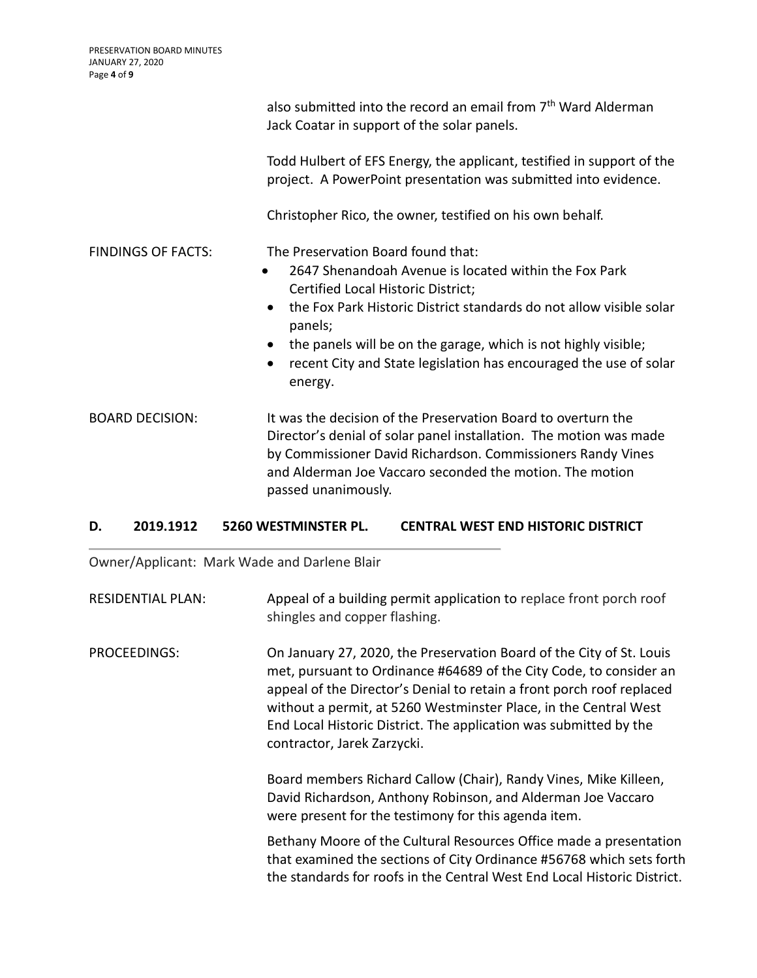|                           | also submitted into the record an email from 7 <sup>th</sup> Ward Alderman<br>Jack Coatar in support of the solar panels.                                                                                                                                                                                                                                                                                    |
|---------------------------|--------------------------------------------------------------------------------------------------------------------------------------------------------------------------------------------------------------------------------------------------------------------------------------------------------------------------------------------------------------------------------------------------------------|
|                           | Todd Hulbert of EFS Energy, the applicant, testified in support of the<br>project. A PowerPoint presentation was submitted into evidence.                                                                                                                                                                                                                                                                    |
|                           | Christopher Rico, the owner, testified on his own behalf.                                                                                                                                                                                                                                                                                                                                                    |
| <b>FINDINGS OF FACTS:</b> | The Preservation Board found that:<br>2647 Shenandoah Avenue is located within the Fox Park<br>$\bullet$<br>Certified Local Historic District;<br>the Fox Park Historic District standards do not allow visible solar<br>$\bullet$<br>panels;<br>the panels will be on the garage, which is not highly visible;<br>recent City and State legislation has encouraged the use of solar<br>$\bullet$<br>energy. |
| <b>BOARD DECISION:</b>    | It was the decision of the Preservation Board to overturn the<br>Director's denial of solar panel installation. The motion was made<br>by Commissioner David Richardson. Commissioners Randy Vines<br>and Alderman Joe Vaccaro seconded the motion. The motion<br>passed unanimously.                                                                                                                        |

## **D. 2019.1912 5260 WESTMINSTER PL. CENTRAL WEST END HISTORIC DISTRICT**

Owner/Applicant: Mark Wade and Darlene Blair

RESIDENTIAL PLAN: Appeal of a building permit application to replace front porch roof shingles and copper flashing.

PROCEEDINGS: On January 27, 2020, the Preservation Board of the City of St. Louis met, pursuant to Ordinance #64689 of the City Code, to consider an appeal of the Director's Denial to retain a front porch roof replaced without a permit, at 5260 Westminster Place, in the Central West End Local Historic District. The application was submitted by the contractor, Jarek Zarzycki.

> Board members Richard Callow (Chair), Randy Vines, Mike Killeen, David Richardson, Anthony Robinson, and Alderman Joe Vaccaro were present for the testimony for this agenda item.

Bethany Moore of the Cultural Resources Office made a presentation that examined the sections of City Ordinance #56768 which sets forth the standards for roofs in the Central West End Local Historic District.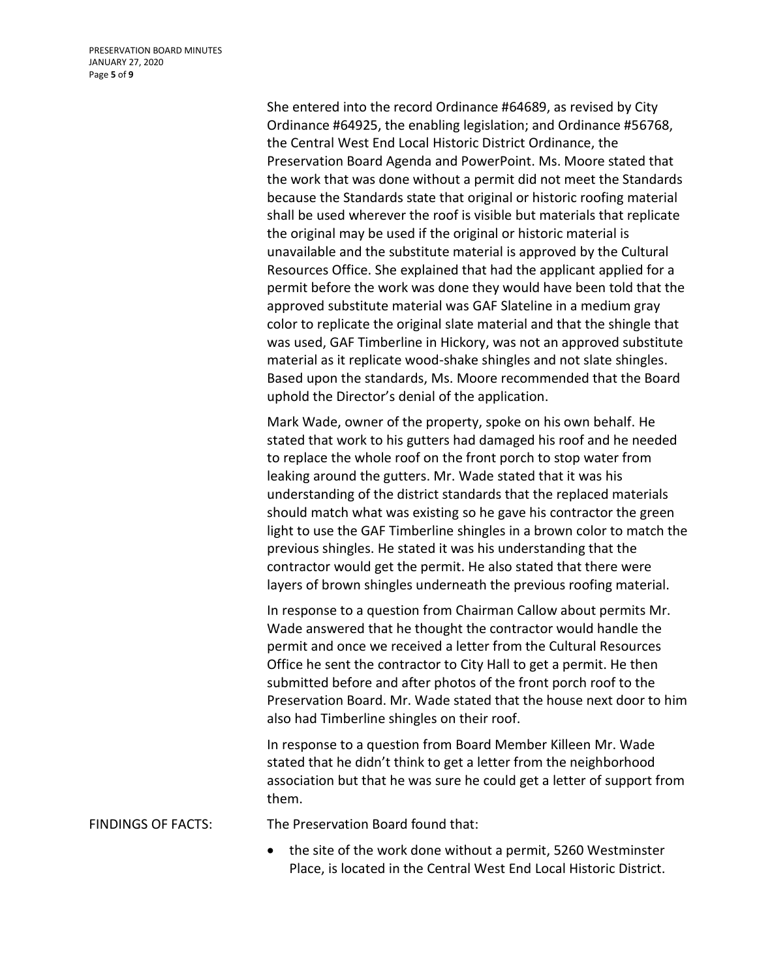PRESERVATION BOARD MINUTES JANUARY 27, 2020 Page **5** of **9**

> She entered into the record Ordinance #64689, as revised by City Ordinance #64925, the enabling legislation; and Ordinance #56768, the Central West End Local Historic District Ordinance, the Preservation Board Agenda and PowerPoint. Ms. Moore stated that the work that was done without a permit did not meet the Standards because the Standards state that original or historic roofing material shall be used wherever the roof is visible but materials that replicate the original may be used if the original or historic material is unavailable and the substitute material is approved by the Cultural Resources Office. She explained that had the applicant applied for a permit before the work was done they would have been told that the approved substitute material was GAF Slateline in a medium gray color to replicate the original slate material and that the shingle that was used, GAF Timberline in Hickory, was not an approved substitute material as it replicate wood-shake shingles and not slate shingles. Based upon the standards, Ms. Moore recommended that the Board uphold the Director's denial of the application.

> Mark Wade, owner of the property, spoke on his own behalf. He stated that work to his gutters had damaged his roof and he needed to replace the whole roof on the front porch to stop water from leaking around the gutters. Mr. Wade stated that it was his understanding of the district standards that the replaced materials should match what was existing so he gave his contractor the green light to use the GAF Timberline shingles in a brown color to match the previous shingles. He stated it was his understanding that the contractor would get the permit. He also stated that there were layers of brown shingles underneath the previous roofing material.

> In response to a question from Chairman Callow about permits Mr. Wade answered that he thought the contractor would handle the permit and once we received a letter from the Cultural Resources Office he sent the contractor to City Hall to get a permit. He then submitted before and after photos of the front porch roof to the Preservation Board. Mr. Wade stated that the house next door to him also had Timberline shingles on their roof.

> In response to a question from Board Member Killeen Mr. Wade stated that he didn't think to get a letter from the neighborhood association but that he was sure he could get a letter of support from them.

FINDINGS OF FACTS: The Preservation Board found that:

 the site of the work done without a permit, 5260 Westminster Place, is located in the Central West End Local Historic District.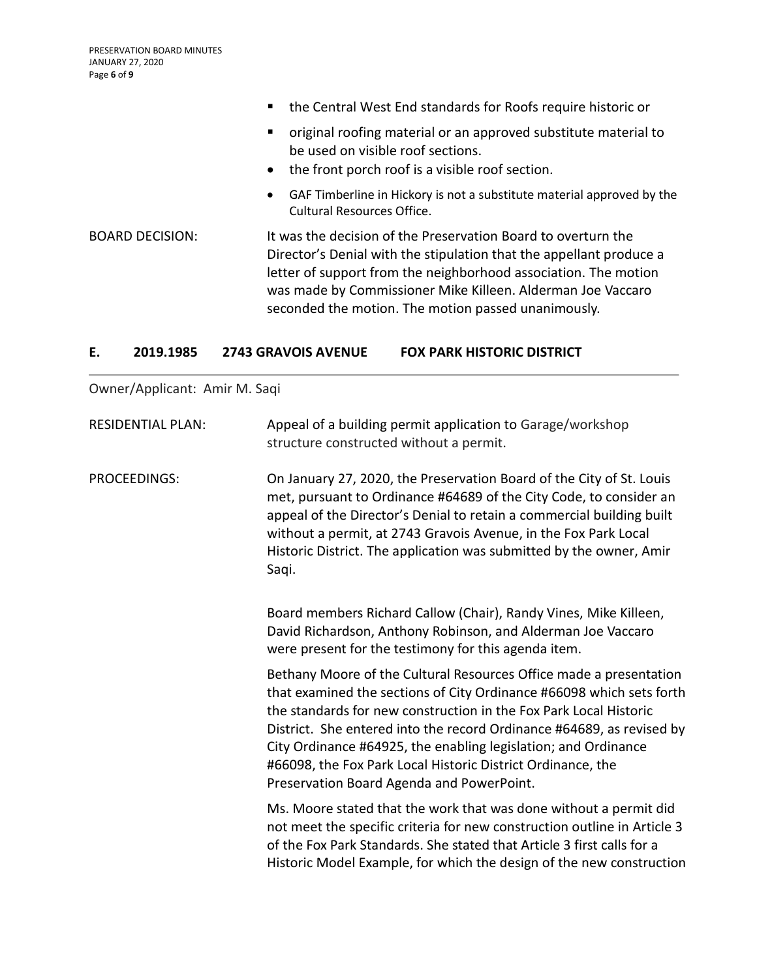|                        | the Central West End standards for Roofs require historic or                                                                                                                                                                                                                                                                  |
|------------------------|-------------------------------------------------------------------------------------------------------------------------------------------------------------------------------------------------------------------------------------------------------------------------------------------------------------------------------|
|                        | original roofing material or an approved substitute material to<br>be used on visible roof sections.<br>• the front porch roof is a visible roof section.                                                                                                                                                                     |
|                        | GAF Timberline in Hickory is not a substitute material approved by the<br>$\bullet$<br>Cultural Resources Office.                                                                                                                                                                                                             |
| <b>BOARD DECISION:</b> | It was the decision of the Preservation Board to overturn the<br>Director's Denial with the stipulation that the appellant produce a<br>letter of support from the neighborhood association. The motion<br>was made by Commissioner Mike Killeen. Alderman Joe Vaccaro<br>seconded the motion. The motion passed unanimously. |

## **E. 2019.1985 2743 GRAVOIS AVENUE FOX PARK HISTORIC DISTRICT**

Owner/Applicant: Amir M. Saqi

| <b>RESIDENTIAL PLAN:</b> | Appeal of a building permit application to Garage/workshop<br>structure constructed without a permit.                                                                                                                                                                                                                                                                                                                                                                  |
|--------------------------|------------------------------------------------------------------------------------------------------------------------------------------------------------------------------------------------------------------------------------------------------------------------------------------------------------------------------------------------------------------------------------------------------------------------------------------------------------------------|
| <b>PROCEEDINGS:</b>      | On January 27, 2020, the Preservation Board of the City of St. Louis<br>met, pursuant to Ordinance #64689 of the City Code, to consider an<br>appeal of the Director's Denial to retain a commercial building built<br>without a permit, at 2743 Gravois Avenue, in the Fox Park Local<br>Historic District. The application was submitted by the owner, Amir<br>Saqi.                                                                                                 |
|                          | Board members Richard Callow (Chair), Randy Vines, Mike Killeen,<br>David Richardson, Anthony Robinson, and Alderman Joe Vaccaro<br>were present for the testimony for this agenda item.                                                                                                                                                                                                                                                                               |
|                          | Bethany Moore of the Cultural Resources Office made a presentation<br>that examined the sections of City Ordinance #66098 which sets forth<br>the standards for new construction in the Fox Park Local Historic<br>District. She entered into the record Ordinance #64689, as revised by<br>City Ordinance #64925, the enabling legislation; and Ordinance<br>#66098, the Fox Park Local Historic District Ordinance, the<br>Preservation Board Agenda and PowerPoint. |
|                          | Ms. Moore stated that the work that was done without a permit did<br>not meet the specific criteria for new construction outline in Article 3<br>of the Fox Park Standards. She stated that Article 3 first calls for a<br>Historic Model Example, for which the design of the new construction                                                                                                                                                                        |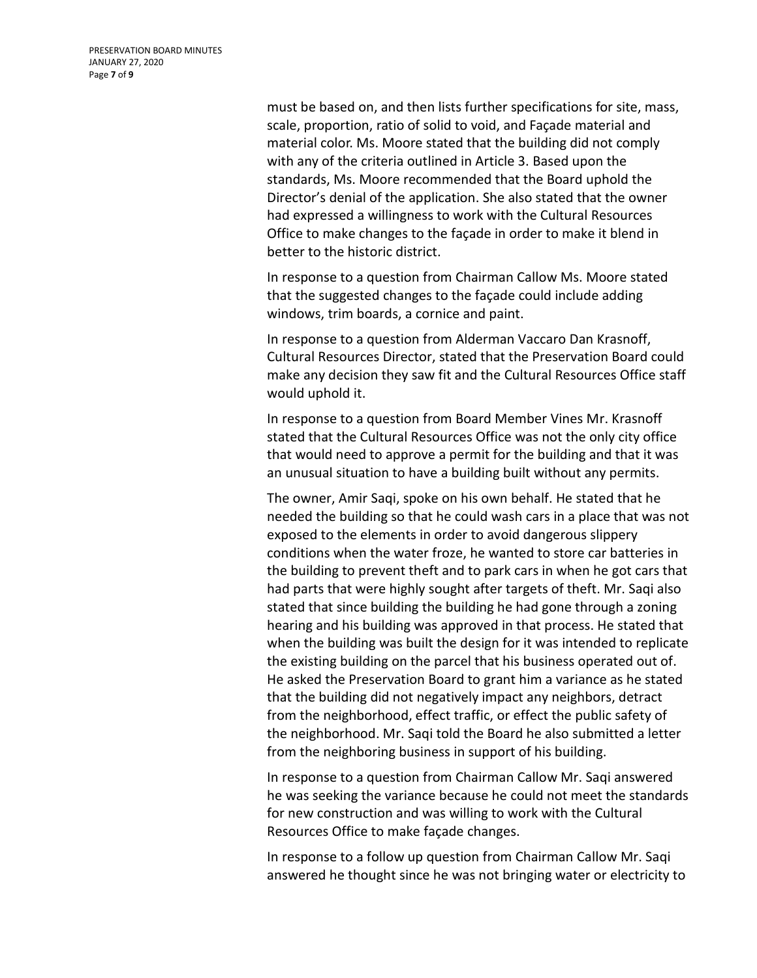must be based on, and then lists further specifications for site, mass, scale, proportion, ratio of solid to void, and Façade material and material color. Ms. Moore stated that the building did not comply with any of the criteria outlined in Article 3. Based upon the standards, Ms. Moore recommended that the Board uphold the Director's denial of the application. She also stated that the owner had expressed a willingness to work with the Cultural Resources Office to make changes to the façade in order to make it blend in better to the historic district.

In response to a question from Chairman Callow Ms. Moore stated that the suggested changes to the façade could include adding windows, trim boards, a cornice and paint.

In response to a question from Alderman Vaccaro Dan Krasnoff, Cultural Resources Director, stated that the Preservation Board could make any decision they saw fit and the Cultural Resources Office staff would uphold it.

In response to a question from Board Member Vines Mr. Krasnoff stated that the Cultural Resources Office was not the only city office that would need to approve a permit for the building and that it was an unusual situation to have a building built without any permits.

The owner, Amir Saqi, spoke on his own behalf. He stated that he needed the building so that he could wash cars in a place that was not exposed to the elements in order to avoid dangerous slippery conditions when the water froze, he wanted to store car batteries in the building to prevent theft and to park cars in when he got cars that had parts that were highly sought after targets of theft. Mr. Saqi also stated that since building the building he had gone through a zoning hearing and his building was approved in that process. He stated that when the building was built the design for it was intended to replicate the existing building on the parcel that his business operated out of. He asked the Preservation Board to grant him a variance as he stated that the building did not negatively impact any neighbors, detract from the neighborhood, effect traffic, or effect the public safety of the neighborhood. Mr. Saqi told the Board he also submitted a letter from the neighboring business in support of his building.

In response to a question from Chairman Callow Mr. Saqi answered he was seeking the variance because he could not meet the standards for new construction and was willing to work with the Cultural Resources Office to make façade changes.

In response to a follow up question from Chairman Callow Mr. Saqi answered he thought since he was not bringing water or electricity to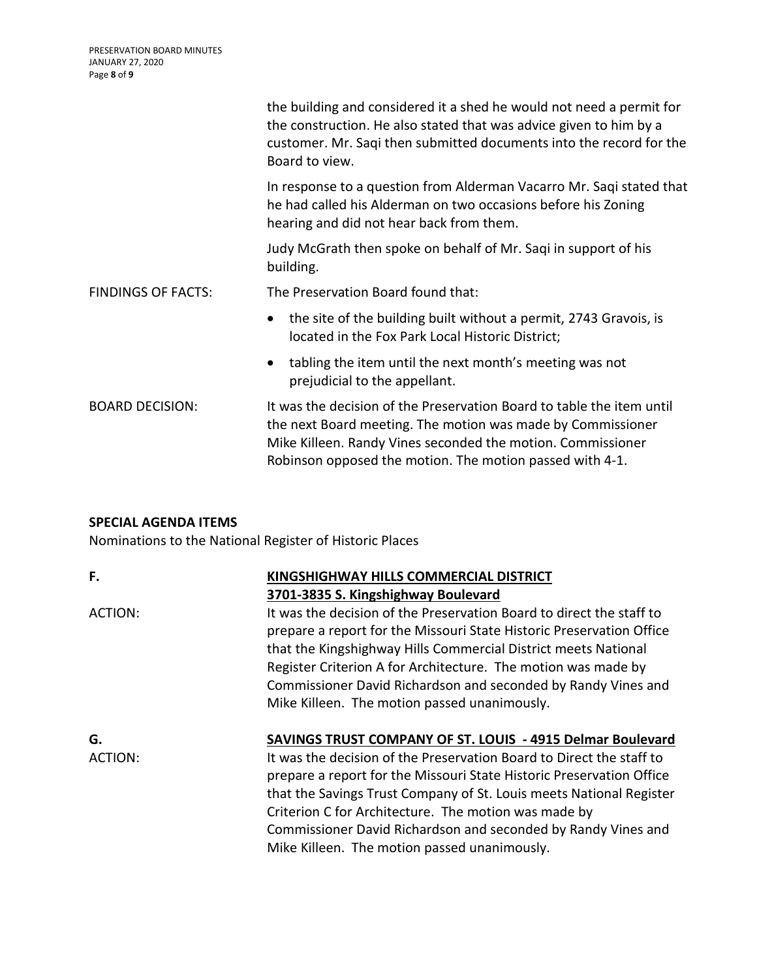|                           | the building and considered it a shed he would not need a permit for<br>the construction. He also stated that was advice given to him by a<br>customer. Mr. Saqi then submitted documents into the record for the<br>Board to view.                             |
|---------------------------|-----------------------------------------------------------------------------------------------------------------------------------------------------------------------------------------------------------------------------------------------------------------|
|                           | In response to a question from Alderman Vacarro Mr. Sagi stated that<br>he had called his Alderman on two occasions before his Zoning<br>hearing and did not hear back from them.                                                                               |
|                           | Judy McGrath then spoke on behalf of Mr. Saqi in support of his<br>building.                                                                                                                                                                                    |
| <b>FINDINGS OF FACTS:</b> | The Preservation Board found that:                                                                                                                                                                                                                              |
|                           | the site of the building built without a permit, 2743 Gravois, is<br>$\bullet$<br>located in the Fox Park Local Historic District;                                                                                                                              |
|                           | tabling the item until the next month's meeting was not<br>$\bullet$<br>prejudicial to the appellant.                                                                                                                                                           |
| <b>BOARD DECISION:</b>    | It was the decision of the Preservation Board to table the item until<br>the next Board meeting. The motion was made by Commissioner<br>Mike Killeen. Randy Vines seconded the motion. Commissioner<br>Robinson opposed the motion. The motion passed with 4-1. |

# **SPECIAL AGENDA ITEMS**

Nominations to the National Register of Historic Places

| F.            | KINGSHIGHWAY HILLS COMMERCIAL DISTRICT<br>3701-3835 S. Kingshighway Boulevard                                                                                                                                                                                                                                                                                                                                                                                     |
|---------------|-------------------------------------------------------------------------------------------------------------------------------------------------------------------------------------------------------------------------------------------------------------------------------------------------------------------------------------------------------------------------------------------------------------------------------------------------------------------|
| ACTION:       | It was the decision of the Preservation Board to direct the staff to<br>prepare a report for the Missouri State Historic Preservation Office<br>that the Kingshighway Hills Commercial District meets National<br>Register Criterion A for Architecture. The motion was made by<br>Commissioner David Richardson and seconded by Randy Vines and<br>Mike Killeen. The motion passed unanimously.                                                                  |
| G.<br>ACTION: | <b>SAVINGS TRUST COMPANY OF ST. LOUIS - 4915 Delmar Boulevard</b><br>It was the decision of the Preservation Board to Direct the staff to<br>prepare a report for the Missouri State Historic Preservation Office<br>that the Savings Trust Company of St. Louis meets National Register<br>Criterion C for Architecture. The motion was made by<br>Commissioner David Richardson and seconded by Randy Vines and<br>Mike Killeen. The motion passed unanimously. |